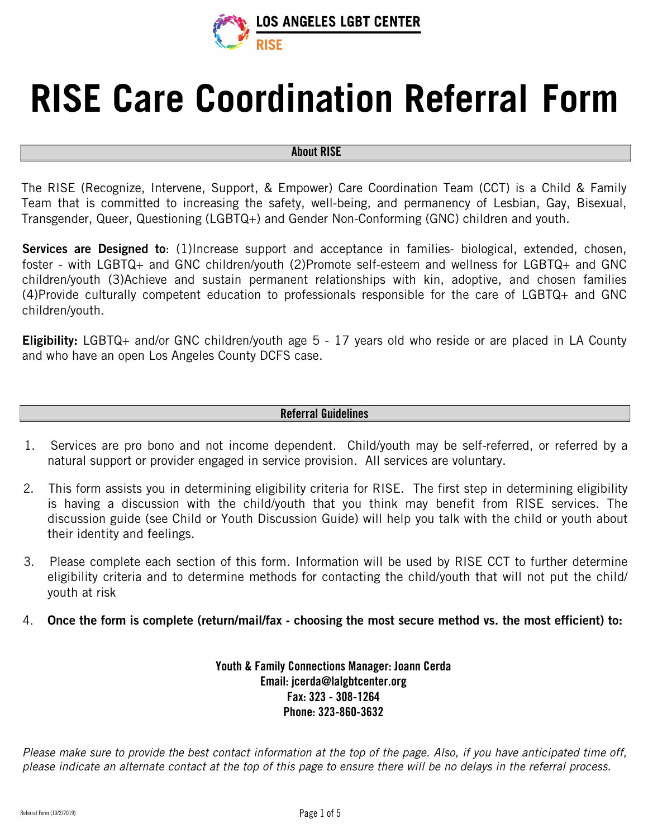

# **RISE Care Coordination Referral Form**

#### About RISE

The RISE (Recognize, Intervene, Support, & Empower) Care Coordination Team (CCT) is a Child & Family Team that is committed to increasing the safety, well-being, and permanency of Lesbian, Gay, Bisexual, Transgender, Queer, Questioning (LGBTQ+) and Gender Non-Conforming (GNC) children and youth.

Services are Designed to: (1)Increase support and acceptance in families- biological, extended, chosen, foster - with LGBTQ+ an[d](mailto:jcerda@lalgbtcenter.org) GNC children/youth (2)Promote self-esteem and wellness for LGBTQ+ and GNC children/youth (3)Achieve and sustain permanent relationships with kin, adoptive, and chosen families (4)Provide culturally competent education to professionals responsible for the care of LGBTQ+ and GNC children/youth.

Eligibility: LGBTQ+ and/or GNC children/youth age 5 - 17 years old who reside or are placed in LA County and who have an open Los Angeles County DCFS case.

#### Referral Guidelines

- 1. Services are pro bono and not income dependent. Child/youth may be self-referred, or referred by a natural support or provider engaged in service provision. All services are voluntary.
- 2. This form assists you in determining eligibility criteria for RISE. The first step in determining eligibility is having a discussion with the child/youth that you think may benefit from RISE services. The discussion guide (see Child or Youth Discussion Guide) will help you talk with the child or youth about their identity and feelings.
- 3. Please complete each section of this form. Information will be used by RISE CCT to further determine eligibility criteria and to determine methods for contacting the child/youth that will not put the child/ youth at risk
- 4. Once the form is complete (return/mail/fax choosing the most secure method vs. the most efficient) to:

Youth & Family Connections Manager: Joann Cerda Email: jcerda@lalgbtcenter.org Fax: 323 - 308-1264 Phone: 323-860-3632

Please make sure to provide the best contact information at the top of the page. Also, if you have anticipated time off, please indicate an alternate contact at the top of this page to ensure there will be no delays in the referral process.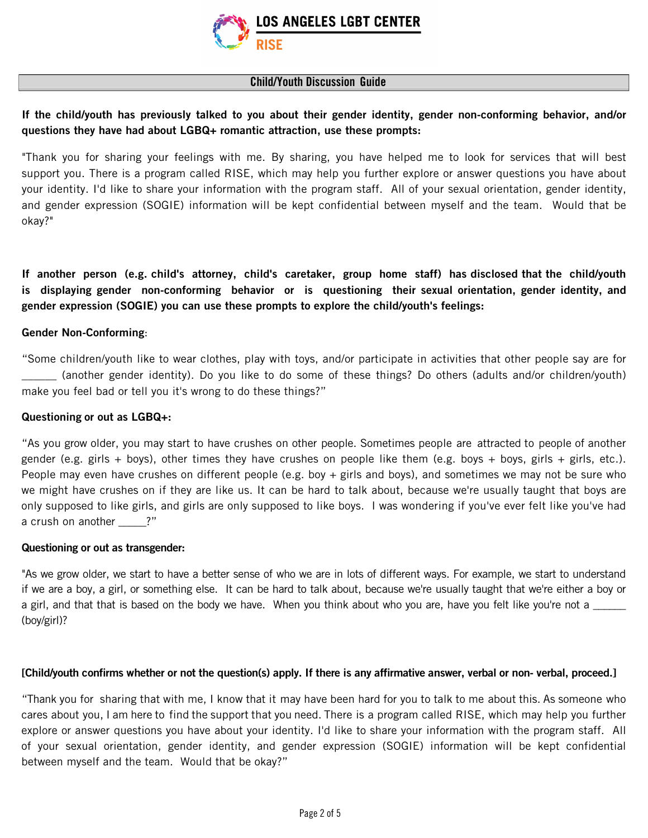

#### Child/Youth Discussion Guide

### If the child/youth has previously talked to you about their gender identity, gender non-conforming behavior, and/or questions they have had about LGBQ+ romantic attraction, use these prompts:

"Thank you for sharing your feelings with me. By sharing, you have helped me to look for services that will best support you. There is a program called RISE, which may help you further explore or answer questions you have about your identity. I'd like to share your information with the program staff. All of your sexual orientation, gender identity, and gender expression (SOGIE) information will be kept confidential between myself and the team. Would that be okay?"

If another person (e.g. child's attorney, child's caretaker, group home staff) has disclosed that the child/youth is displaying gender non-conforming behavior or is questioning their sexual orientation, gender identity, and gender expression (SOGIE) you can use these prompts to explore the child/youth's feelings:

#### Gender Non-Conforming:

"Some children/youth like to wear clothes, play with toys, and/or participate in activities that other people say are for \_\_\_\_\_\_ (another gender identity). Do you like to do some of these things? Do others (adults and/or children/youth) make you feel bad or tell you it's wrong to do these things?"

#### Questioning or out as LGBQ+:

"As you grow older, you may start to have crushes on other people. Sometimes people are attracted to people of another gender (e.g. girls + boys), other times they have crushes on people like them (e.g. boys + boys, girls + girls, etc.). People may even have crushes on different people (e.g. boy + girls and boys), and sometimes we may not be sure who we might have crushes on if they are like us. It can be hard to talk about, because we're usually taught that boys are only supposed to like girls, and girls are only supposed to like boys. I was wondering if you've ever felt like you've had a crush on another \_\_\_\_\_?"

#### Questioning or out as transgender:

"As we grow older, we start to have a better sense of who we are in lots of different ways. For example, we start to understand if we are a boy, a girl, or something else. It can be hard to talk about, because we're usually taught that we're either a boy or a girl, and that that is based on the body we have. When you think about who you are, have you felt like you're not a (boy/girl)?

#### [Child/youth confirms whether or not the question(s) apply. If there is any affirmative answer, verbal or non- verbal, proceed.]

"Thank you for sharing that with me, I know that it may have been hard for you to talk to me about this. As someone who cares about you, I am here to find the support that you need. There is a program called RISE, which may help you further explore or answer questions you have about your identity. I'd like to share your information with the program staff. All of your sexual orientation, gender identity, and gender expression (SOGIE) information will be kept confidential between myself and the team. Would that be okay?"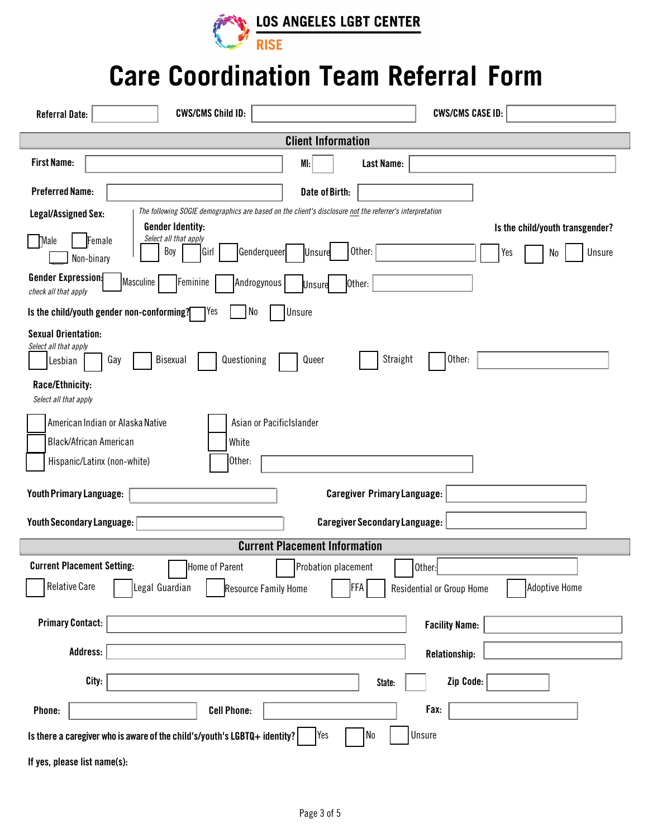

## **Care Coordination Team Referral Form**

| <b>CWS/CMS CASE ID:</b><br><b>CWS/CMS Child ID:</b><br><b>Referral Date:</b>                                                                                                                                              |
|---------------------------------------------------------------------------------------------------------------------------------------------------------------------------------------------------------------------------|
| <b>Client Information</b>                                                                                                                                                                                                 |
| <b>First Name:</b><br>Last Name:<br>MI:                                                                                                                                                                                   |
| <b>Preferred Name:</b><br>Date of Birth:                                                                                                                                                                                  |
| The following SOGIE demographics are based on the client's disclosure not the referrer's interpretation<br><b>Legal/Assigned Sex:</b>                                                                                     |
| <b>Gender Identity:</b><br>Is the child/youth transgender?<br>Select all that apply<br>Female<br>Male<br>Boy<br>Other:<br>Genderqueer<br>Unsure<br>Girl<br><b>Unsure</b><br>Yes<br>No<br>Non-binary                       |
| <b>Gender Expression:</b><br>Masculine<br>Feminine<br>Androgynous<br>Other:<br><b>Unsure</b><br>check all that apply                                                                                                      |
| Is the child/youth gender non-conforming?<br>No<br> Yes<br>Unsure                                                                                                                                                         |
| <b>Sexual Orientation:</b><br>Select all that apply<br>Straight<br>Other:<br>Bisexual<br>Questioning<br>Queer<br>Gay<br>Lesbian                                                                                           |
| Race/Ethnicity:<br>Select all that apply                                                                                                                                                                                  |
| Asian or PacificIslander<br>American Indian or Alaska Native<br><b>Black/African American</b><br>White<br>Other:<br>Hispanic/Latinx (non-white)                                                                           |
| <b>Youth Primary Language:</b><br><b>Caregiver Primary Language:</b>                                                                                                                                                      |
| <b>Youth Secondary Language:</b><br><b>Caregiver Secondary Language:</b>                                                                                                                                                  |
| <b>Current Placement Information</b>                                                                                                                                                                                      |
| <b>Current Placement Setting:</b><br>Home of Parent<br>Probation placement<br>Other:<br><b>Relative Care</b><br>Legal Guardian<br><b>Adoptive Home</b><br>FFA<br>Residential or Group Home<br><b>Resource Family Home</b> |
| <b>Primary Contact:</b><br><b>Facility Name:</b>                                                                                                                                                                          |
| Address:<br>Relationship:                                                                                                                                                                                                 |
| City:<br>Zip Code:<br>State:                                                                                                                                                                                              |
| Fax:<br>Phone:<br><b>Cell Phone:</b>                                                                                                                                                                                      |
| Unsure<br>Yes<br>No<br>Is there a caregiver who is aware of the child's/youth's LGBTQ+ identity?                                                                                                                          |
| If yes, please list name(s):                                                                                                                                                                                              |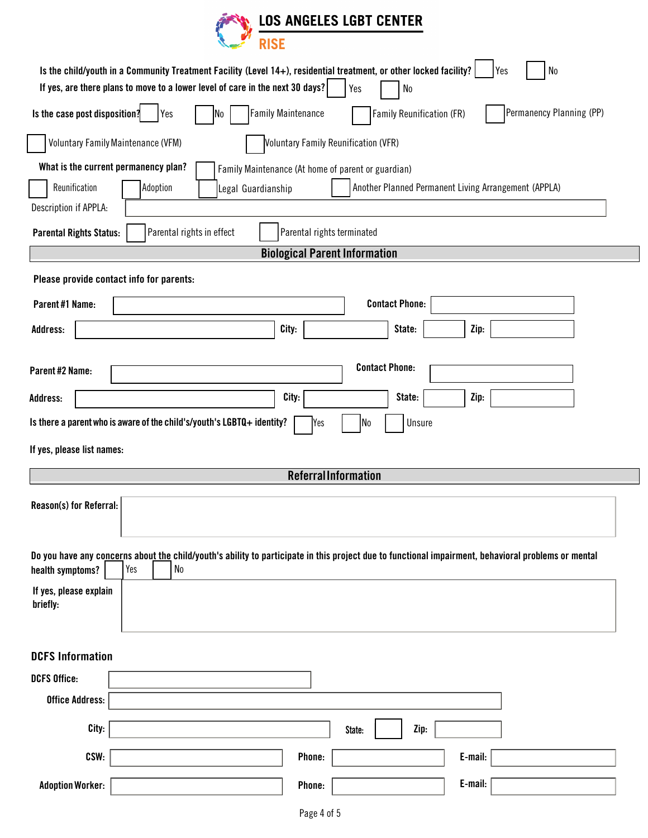

|                                          |                                           | Is the child/youth in a Community Treatment Facility (Level 14+), residential treatment, or other locked facility?<br>If yes, are there plans to move to a lower level of care in the next 30 days? |                            | Yes                                                | ${\sf No}$                |         | N <sub>0</sub><br>Yes                                                                                                                               |
|------------------------------------------|-------------------------------------------|-----------------------------------------------------------------------------------------------------------------------------------------------------------------------------------------------------|----------------------------|----------------------------------------------------|---------------------------|---------|-----------------------------------------------------------------------------------------------------------------------------------------------------|
| Is the case post disposition?            | Yes                                       | N <sub>0</sub>                                                                                                                                                                                      | <b>Family Maintenance</b>  |                                                    | Family Reunification (FR) |         | Permanency Planning (PP)                                                                                                                            |
|                                          | <b>Voluntary Family Maintenance (VFM)</b> |                                                                                                                                                                                                     |                            | <b>Voluntary Family Reunification (VFR)</b>        |                           |         |                                                                                                                                                     |
| What is the current permanency plan?     |                                           |                                                                                                                                                                                                     |                            | Family Maintenance (At home of parent or guardian) |                           |         |                                                                                                                                                     |
| Reunification                            | Adoption                                  | Legal Guardianship                                                                                                                                                                                  |                            |                                                    |                           |         | Another Planned Permanent Living Arrangement (APPLA)                                                                                                |
| Description if APPLA:                    |                                           |                                                                                                                                                                                                     |                            |                                                    |                           |         |                                                                                                                                                     |
| <b>Parental Rights Status:</b>           |                                           | Parental rights in effect                                                                                                                                                                           | Parental rights terminated |                                                    |                           |         |                                                                                                                                                     |
|                                          |                                           |                                                                                                                                                                                                     |                            | <b>Biological Parent Information</b>               |                           |         |                                                                                                                                                     |
| Please provide contact info for parents: |                                           |                                                                                                                                                                                                     |                            |                                                    |                           |         |                                                                                                                                                     |
| Parent#1 Name:                           |                                           |                                                                                                                                                                                                     |                            | <b>Contact Phone:</b>                              |                           |         |                                                                                                                                                     |
| Address:                                 |                                           |                                                                                                                                                                                                     | City:                      |                                                    | State:                    | Zip:    |                                                                                                                                                     |
|                                          |                                           |                                                                                                                                                                                                     |                            |                                                    |                           |         |                                                                                                                                                     |
| Parent #2 Name:                          |                                           |                                                                                                                                                                                                     |                            | <b>Contact Phone:</b>                              |                           |         |                                                                                                                                                     |
| Address:                                 |                                           |                                                                                                                                                                                                     | City:                      |                                                    | State:                    | Zip:    |                                                                                                                                                     |
|                                          |                                           | Is there a parent who is aware of the child's/youth's LGBTQ+ identity?                                                                                                                              | Yes                        | No                                                 | Unsure                    |         |                                                                                                                                                     |
| If yes, please list names:               |                                           |                                                                                                                                                                                                     |                            |                                                    |                           |         |                                                                                                                                                     |
|                                          |                                           |                                                                                                                                                                                                     |                            | <b>Referral Information</b>                        |                           |         |                                                                                                                                                     |
| Reason(s) for Referral:                  |                                           |                                                                                                                                                                                                     |                            |                                                    |                           |         |                                                                                                                                                     |
| health symptoms?                         | Yes<br>${\sf No}$                         |                                                                                                                                                                                                     |                            |                                                    |                           |         | Do you have any concerns about the child/youth's ability to participate in this project due to functional impairment, behavioral problems or mental |
| If yes, please explain<br>briefly:       |                                           |                                                                                                                                                                                                     |                            |                                                    |                           |         |                                                                                                                                                     |
| <b>DCFS Information</b>                  |                                           |                                                                                                                                                                                                     |                            |                                                    |                           |         |                                                                                                                                                     |
| <b>DCFS Office:</b>                      |                                           |                                                                                                                                                                                                     |                            |                                                    |                           |         |                                                                                                                                                     |
| <b>Office Address:</b>                   |                                           |                                                                                                                                                                                                     |                            |                                                    |                           |         |                                                                                                                                                     |
| City:                                    |                                           |                                                                                                                                                                                                     |                            | State:                                             | Zip:                      |         |                                                                                                                                                     |
| CSW:                                     |                                           |                                                                                                                                                                                                     | Phone:                     |                                                    |                           | E-mail: |                                                                                                                                                     |
| <b>Adoption Worker:</b>                  |                                           |                                                                                                                                                                                                     | Phone:                     |                                                    |                           | E-mail: |                                                                                                                                                     |